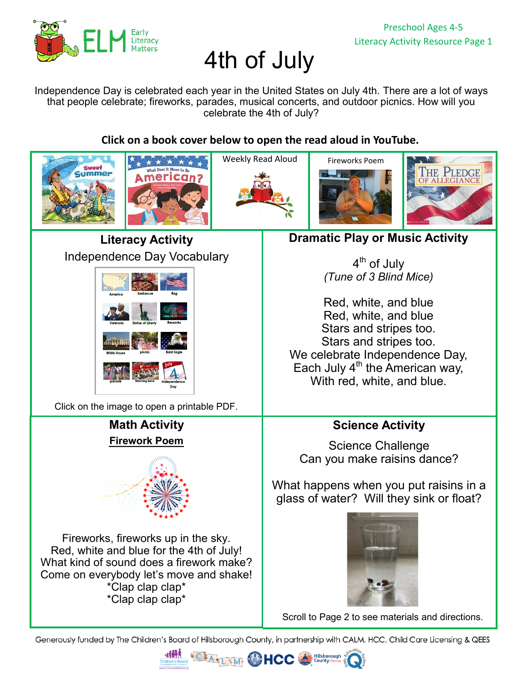

# 4th of July

Independence Day is celebrated each year in the United States on July 4th. There are a lot of ways that people celebrate; fireworks, parades, musical concerts, and outdoor picnics. How will you celebrate the 4th of July?

**Click on a book cover below to open the read aloud in YouTube.** 



Generously funded by The Children's Board of Hillsborough County, in partnership with CALM, HCC, Child Care Licensing & QEES